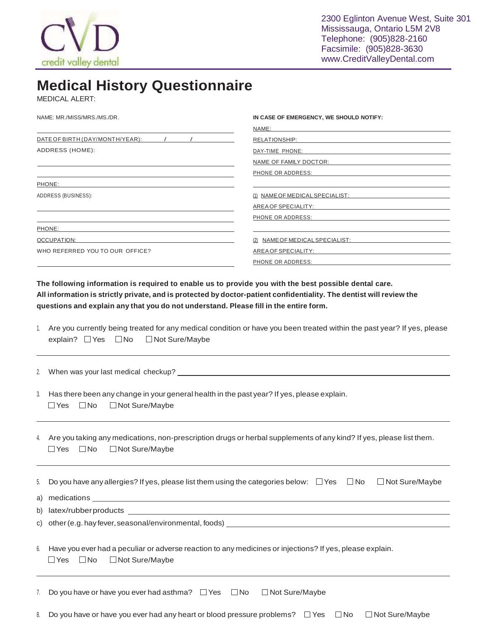

## **Medical History Questionnaire**

MEDICAL ALERT:

NAME: MR./MISS/MRS./MS./DR.

| NAME:                           |  |  |
|---------------------------------|--|--|
| RELATIONSHIP:                   |  |  |
| DAY-TIME PHONE:                 |  |  |
| NAME OF FAMILY DOCTOR:          |  |  |
| PHONE OR ADDRESS:               |  |  |
|                                 |  |  |
| (1) NAME OF MEDICAL SPECIALIST: |  |  |
| AREA OF SPECIALITY:             |  |  |
| PHONE OR ADDRESS:               |  |  |
|                                 |  |  |
| (2) NAME OF MEDICAL SPECIALIST: |  |  |
| AREA OF SPECIALITY:             |  |  |
| PHONE OR ADDRESS:               |  |  |
|                                 |  |  |

**IN CASE OF EMERGENCY, WE SHOULD NOTIFY:**

**The following information is required to enable us to provide you with the best possible dental care.** All information is strictly private, and is protected by doctor-patient confidentiality. The dentist will review the **questions and explain any that you do not understand. Please fill in the entire form.**

|                                                     | 1. Are you currently being treated for any medical condition or have you been treated within the past year? If yes, please |
|-----------------------------------------------------|----------------------------------------------------------------------------------------------------------------------------|
| explain? $\Box$ Yes $\Box$ No $\Box$ Not Sure/Maybe |                                                                                                                            |

2. When was your last medical checkup?

3. Has there been any change in your general health in the past year? If yes, please explain.  $\Box$  Yes  $\Box$  No  $\Box$  Not Sure/Maybe

4. Are you taking any medications, non-prescription drugs or herbal supplements of any kind? If yes, please list them.  $\Box$  Yes  $\Box$  No  $\Box$  Not Sure/Maybe

| 5. Do you have any allergies? If yes, please list them using the categories below: $\Box$ Yes $\Box$ No |  | I Not Sure/Maybe |
|---------------------------------------------------------------------------------------------------------|--|------------------|
| a) medications                                                                                          |  |                  |
| b) latex/rubberproducts                                                                                 |  |                  |
| c) other (e.g. hay fever, seasonal/environmental, foods)                                                |  |                  |

| 6. Have you ever had a peculiar or adverse reaction to any medicines or injections? If yes, please explain. |  |                                            |
|-------------------------------------------------------------------------------------------------------------|--|--------------------------------------------|
|                                                                                                             |  | $\Box$ Yes $\Box$ No $\Box$ Not Sure/Maybe |

| 7. Do you have or have you ever had asthma? $\Box$ Yes $\Box$ No $\Box$ Not Sure/Maybe |  |  |
|----------------------------------------------------------------------------------------|--|--|
|                                                                                        |  |  |

8. Do you have or have you ever had any heart or blood pressure problems?  $\Box$  Yes  $\Box$  No  $\Box$  Not Sure/Maybe